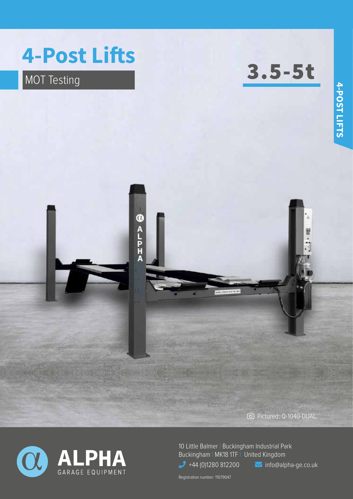

**OALPHA** 

MOT Testing **3.5-5t** 

Pictured: Q-1040-DUAL



10 Little Balmer | Buckingham Industrial Park Buckingham | MK18 1TF | United Kingdom  $\bigcup$  +44 (0)1280 812200  $\bigcup$  info@alpha-ge.co.uk

Registration number: 11079047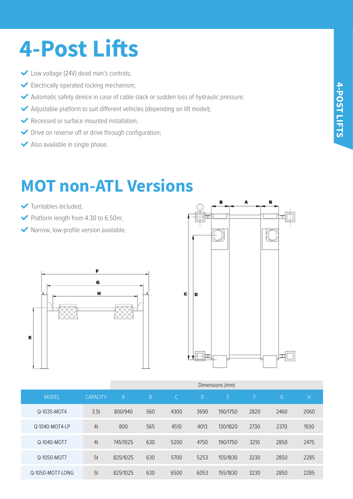# **4-Post Lifts**

- ◆ Low voltage (24V) dead man's controls;
- Electrically operated locking mechanism;
- Automatic safety device in case of cable slack or sudden loss of hydraulic pressure;
- Adjustable platform to suit different vehicles (depending on lift model);
- Recessed or surface mounted installation:
- Drive on reverse off or drive through configuration;
- Also available in single phase.

### **MOT non-ATL Versions**

- Turntables included;
- $\blacktriangleright$  Platform length from 4.30 to 6.50m;
- Narrow, low-profile version available.





|                  |                 | Dimensions (mm) |     |               |      |          |      |      |      |
|------------------|-----------------|-----------------|-----|---------------|------|----------|------|------|------|
| <b>MODEL</b>     | <b>CAPACITY</b> | $\mathsf{A}$    | B.  | $\mathcal{C}$ | D    | E        | F    | G.   | Η    |
| Q-1035-MOT4      | 3.5t            | 800/940         | 560 | 4300          | 3690 | 190/1750 | 2820 | 2460 | 2060 |
| Q-1040-MOT4-LP   | 4t              | 800             | 565 | 4510          | 4013 | 130/1820 | 2730 | 2370 | 1930 |
| Q-1040-MOT7      | 4t              | 745/1025        | 630 | 5200          | 4750 | 190/1750 | 3210 | 2850 | 2475 |
| Q-1050-MOT7      | 5t              | 825/1025        | 630 | 5700          | 5253 | 155/1830 | 3230 | 2850 | 2285 |
| Q-1050-MOT7-LONG | 5t              | 825/1025        | 630 | 6500          | 6053 | 155/1830 | 3230 | 2850 | 2285 |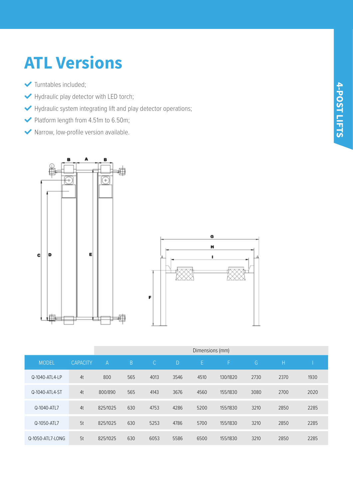#### **ATL Versions**

- Turntables included;
- Hydraulic play detector with LED torch;
- Hydraulic system integrating lift and play detector operations;
- Platform length from 4.51m to 6.50m;
- Narrow, low-profile version available.



|                  |                 | Dimensions (mm) |     |               |              |      |          |      |      |      |  |
|------------------|-----------------|-----------------|-----|---------------|--------------|------|----------|------|------|------|--|
| <b>MODEL</b>     | <b>CAPACITY</b> | A               | B   | $\mathcal{C}$ | <sup>D</sup> | E.   | F        | G    | H    |      |  |
| Q-1040-ATL4-LP   | 4t              | 800             | 565 | 4013          | 3546         | 4510 | 130/1820 | 2730 | 2370 | 1930 |  |
| Q-1040-ATL4-ST   | 4t              | 800/890         | 565 | 4143          | 3676         | 4560 | 155/1830 | 3080 | 2700 | 2020 |  |
| Q-1040-ATL7      | 4t              | 825/1025        | 630 | 4753          | 4286         | 5200 | 155/1830 | 3210 | 2850 | 2285 |  |
| Q-1050-ATL7      | 5t              | 825/1025        | 630 | 5253          | 4786         | 5700 | 155/1830 | 3210 | 2850 | 2285 |  |
| Q-1050-ATL7-LONG | 5t              | 825/1025        | 630 | 6053          | 5586         | 6500 | 155/1830 | 3210 | 2850 | 2285 |  |